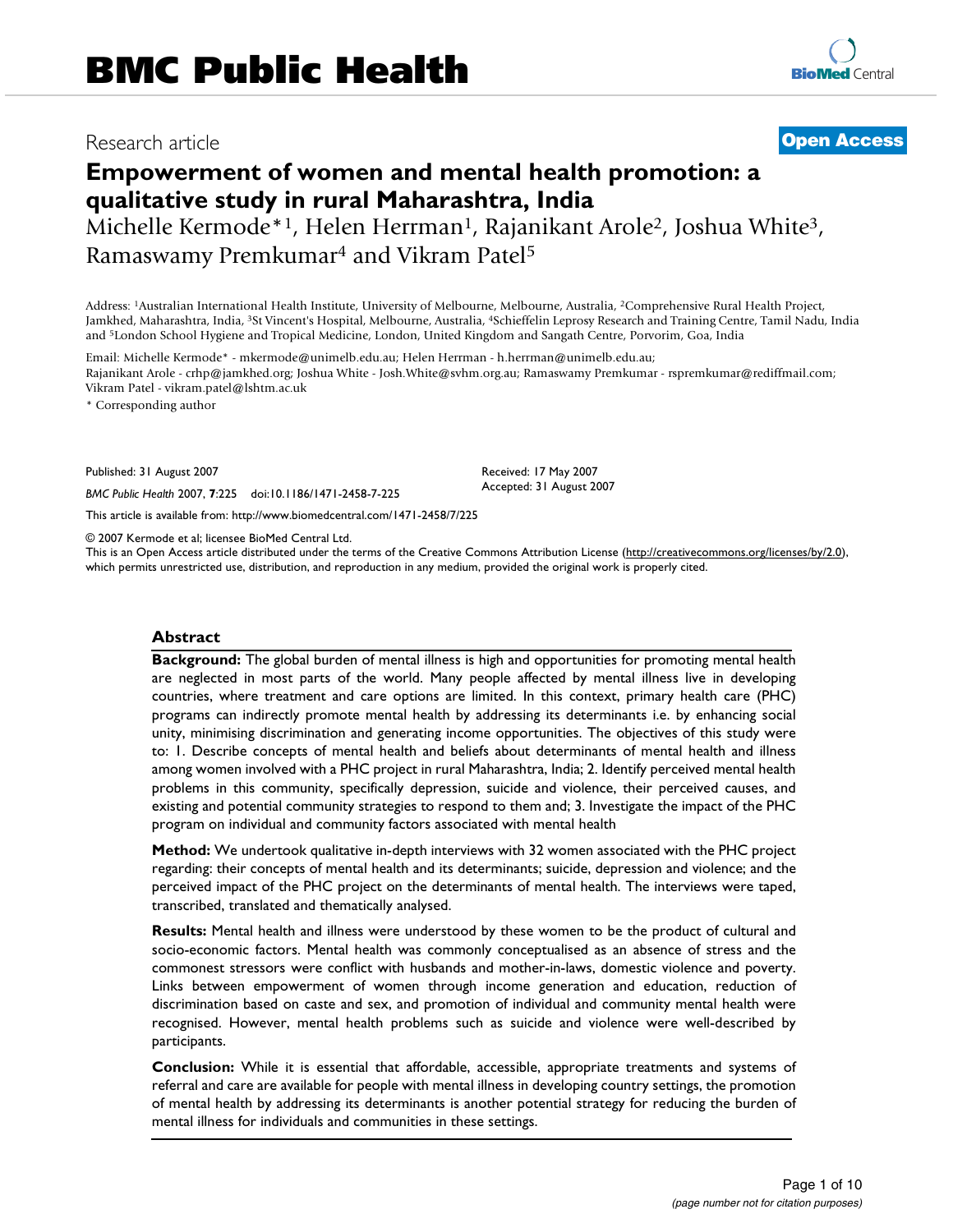# Research article **[Open Access](http://www.biomedcentral.com/info/about/charter/)**

# **Empowerment of women and mental health promotion: a qualitative study in rural Maharashtra, India**

Michelle Kermode\*<sup>1</sup>, Helen Herrman<sup>1</sup>, Rajanikant Arole<sup>2</sup>, Joshua White<sup>3</sup>, Ramaswamy Premkumar4 and Vikram Patel5

Address: 1Australian International Health Institute, University of Melbourne, Melbourne, Australia, 2Comprehensive Rural Health Project, Jamkhed, Maharashtra, India, 3St Vincent's Hospital, Melbourne, Australia, 4Schieffelin Leprosy Research and Training Centre, Tamil Nadu, India and 5London School Hygiene and Tropical Medicine, London, United Kingdom and Sangath Centre, Porvorim, Goa, India

Email: Michelle Kermode\* - mkermode@unimelb.edu.au; Helen Herrman - h.herrman@unimelb.edu.au; Rajanikant Arole - crhp@jamkhed.org; Joshua White - Josh.White@svhm.org.au; Ramaswamy Premkumar - rspremkumar@rediffmail.com; Vikram Patel - vikram.patel@lshtm.ac.uk

\* Corresponding author

Published: 31 August 2007

*BMC Public Health* 2007, **7**:225 doi:10.1186/1471-2458-7-225

This article is available from: http://www.biomedcentral.com/1471-2458/7/225

© 2007 Kermode et al; licensee BioMed Central Ltd.

This is an Open Access article distributed under the terms of the Creative Commons Attribution License (http://creativecommons.org/licenses/by/2.0), which permits unrestricted use, distribution, and reproduction in any medium, provided the original work is properly cited.

Received: 17 May 2007 Accepted: 31 August 2007

#### **Abstract**

**Background:** The global burden of mental illness is high and opportunities for promoting mental health are neglected in most parts of the world. Many people affected by mental illness live in developing countries, where treatment and care options are limited. In this context, primary health care (PHC) programs can indirectly promote mental health by addressing its determinants i.e. by enhancing social unity, minimising discrimination and generating income opportunities. The objectives of this study were to: 1. Describe concepts of mental health and beliefs about determinants of mental health and illness among women involved with a PHC project in rural Maharashtra, India; 2. Identify perceived mental health problems in this community, specifically depression, suicide and violence, their perceived causes, and existing and potential community strategies to respond to them and; 3. Investigate the impact of the PHC program on individual and community factors associated with mental health

**Method:** We undertook qualitative in-depth interviews with 32 women associated with the PHC project regarding: their concepts of mental health and its determinants; suicide, depression and violence; and the perceived impact of the PHC project on the determinants of mental health. The interviews were taped, transcribed, translated and thematically analysed.

**Results:** Mental health and illness were understood by these women to be the product of cultural and socio-economic factors. Mental health was commonly conceptualised as an absence of stress and the commonest stressors were conflict with husbands and mother-in-laws, domestic violence and poverty. Links between empowerment of women through income generation and education, reduction of discrimination based on caste and sex, and promotion of individual and community mental health were recognised. However, mental health problems such as suicide and violence were well-described by participants.

**Conclusion:** While it is essential that affordable, accessible, appropriate treatments and systems of referral and care are available for people with mental illness in developing country settings, the promotion of mental health by addressing its determinants is another potential strategy for reducing the burden of mental illness for individuals and communities in these settings.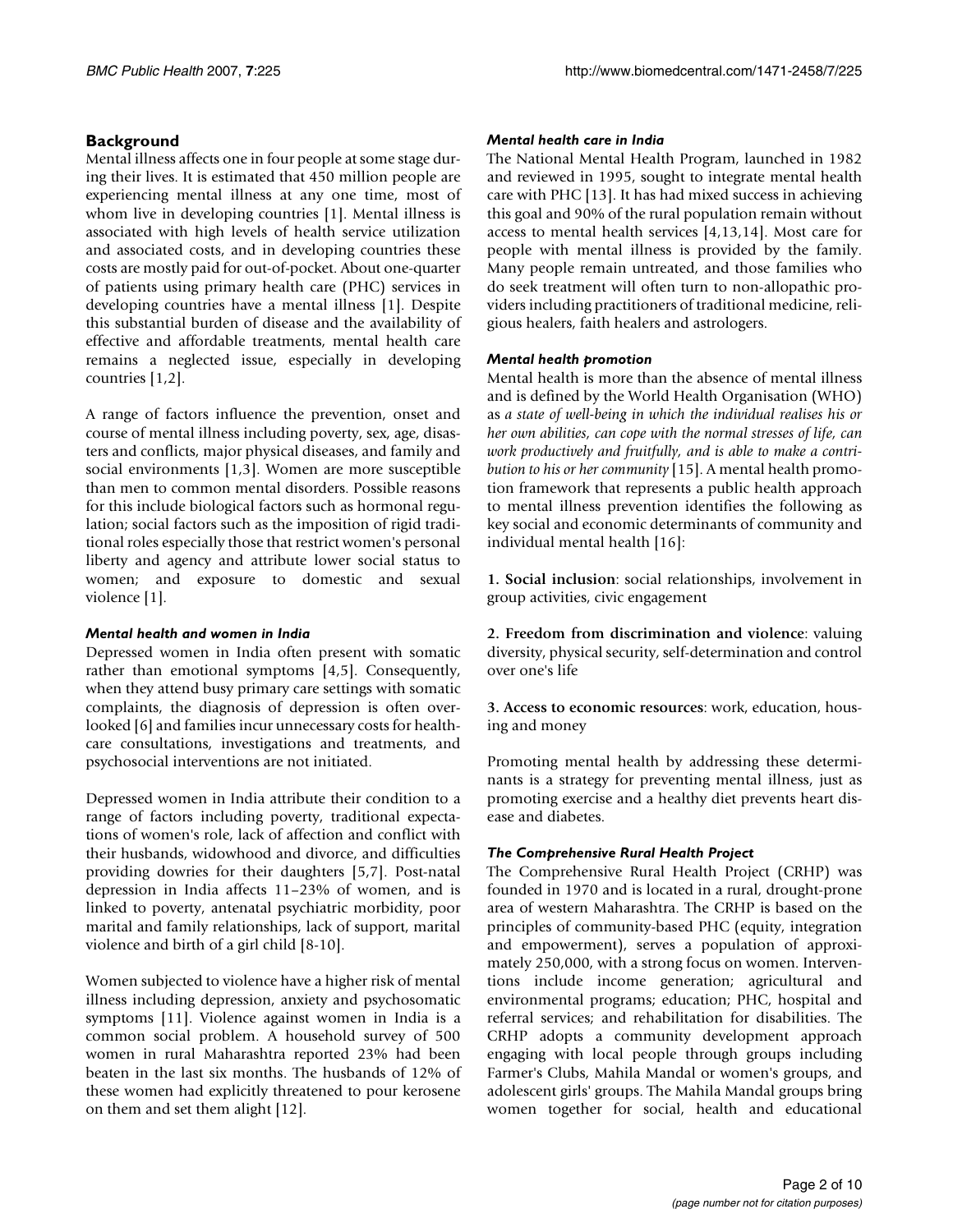# **Background**

Mental illness affects one in four people at some stage during their lives. It is estimated that 450 million people are experiencing mental illness at any one time, most of whom live in developing countries [1]. Mental illness is associated with high levels of health service utilization and associated costs, and in developing countries these costs are mostly paid for out-of-pocket. About one-quarter of patients using primary health care (PHC) services in developing countries have a mental illness [1]. Despite this substantial burden of disease and the availability of effective and affordable treatments, mental health care remains a neglected issue, especially in developing countries [1,2].

A range of factors influence the prevention, onset and course of mental illness including poverty, sex, age, disasters and conflicts, major physical diseases, and family and social environments [1,3]. Women are more susceptible than men to common mental disorders. Possible reasons for this include biological factors such as hormonal regulation; social factors such as the imposition of rigid traditional roles especially those that restrict women's personal liberty and agency and attribute lower social status to women; and exposure to domestic and sexual violence [1].

#### *Mental health and women in India*

Depressed women in India often present with somatic rather than emotional symptoms [4,5]. Consequently, when they attend busy primary care settings with somatic complaints, the diagnosis of depression is often overlooked [6] and families incur unnecessary costs for healthcare consultations, investigations and treatments, and psychosocial interventions are not initiated.

Depressed women in India attribute their condition to a range of factors including poverty, traditional expectations of women's role, lack of affection and conflict with their husbands, widowhood and divorce, and difficulties providing dowries for their daughters [5,7]. Post-natal depression in India affects 11–23% of women, and is linked to poverty, antenatal psychiatric morbidity, poor marital and family relationships, lack of support, marital violence and birth of a girl child [8-10].

Women subjected to violence have a higher risk of mental illness including depression, anxiety and psychosomatic symptoms [11]. Violence against women in India is a common social problem. A household survey of 500 women in rural Maharashtra reported 23% had been beaten in the last six months. The husbands of 12% of these women had explicitly threatened to pour kerosene on them and set them alight [12].

### *Mental health care in India*

The National Mental Health Program, launched in 1982 and reviewed in 1995, sought to integrate mental health care with PHC [13]. It has had mixed success in achieving this goal and 90% of the rural population remain without access to mental health services [4,13,14]. Most care for people with mental illness is provided by the family. Many people remain untreated, and those families who do seek treatment will often turn to non-allopathic providers including practitioners of traditional medicine, religious healers, faith healers and astrologers.

# *Mental health promotion*

Mental health is more than the absence of mental illness and is defined by the World Health Organisation (WHO) as *a state of well-being in which the individual realises his or her own abilities, can cope with the normal stresses of life, can work productively and fruitfully, and is able to make a contribution to his or her community* [15]. A mental health promotion framework that represents a public health approach to mental illness prevention identifies the following as key social and economic determinants of community and individual mental health [16]:

**1. Social inclusion**: social relationships, involvement in group activities, civic engagement

**2. Freedom from discrimination and violence**: valuing diversity, physical security, self-determination and control over one's life

**3. Access to economic resources**: work, education, housing and money

Promoting mental health by addressing these determinants is a strategy for preventing mental illness, just as promoting exercise and a healthy diet prevents heart disease and diabetes.

# *The Comprehensive Rural Health Project*

The Comprehensive Rural Health Project (CRHP) was founded in 1970 and is located in a rural, drought-prone area of western Maharashtra. The CRHP is based on the principles of community-based PHC (equity, integration and empowerment), serves a population of approximately 250,000, with a strong focus on women. Interventions include income generation; agricultural and environmental programs; education; PHC, hospital and referral services; and rehabilitation for disabilities. The CRHP adopts a community development approach engaging with local people through groups including Farmer's Clubs, Mahila Mandal or women's groups, and adolescent girls' groups. The Mahila Mandal groups bring women together for social, health and educational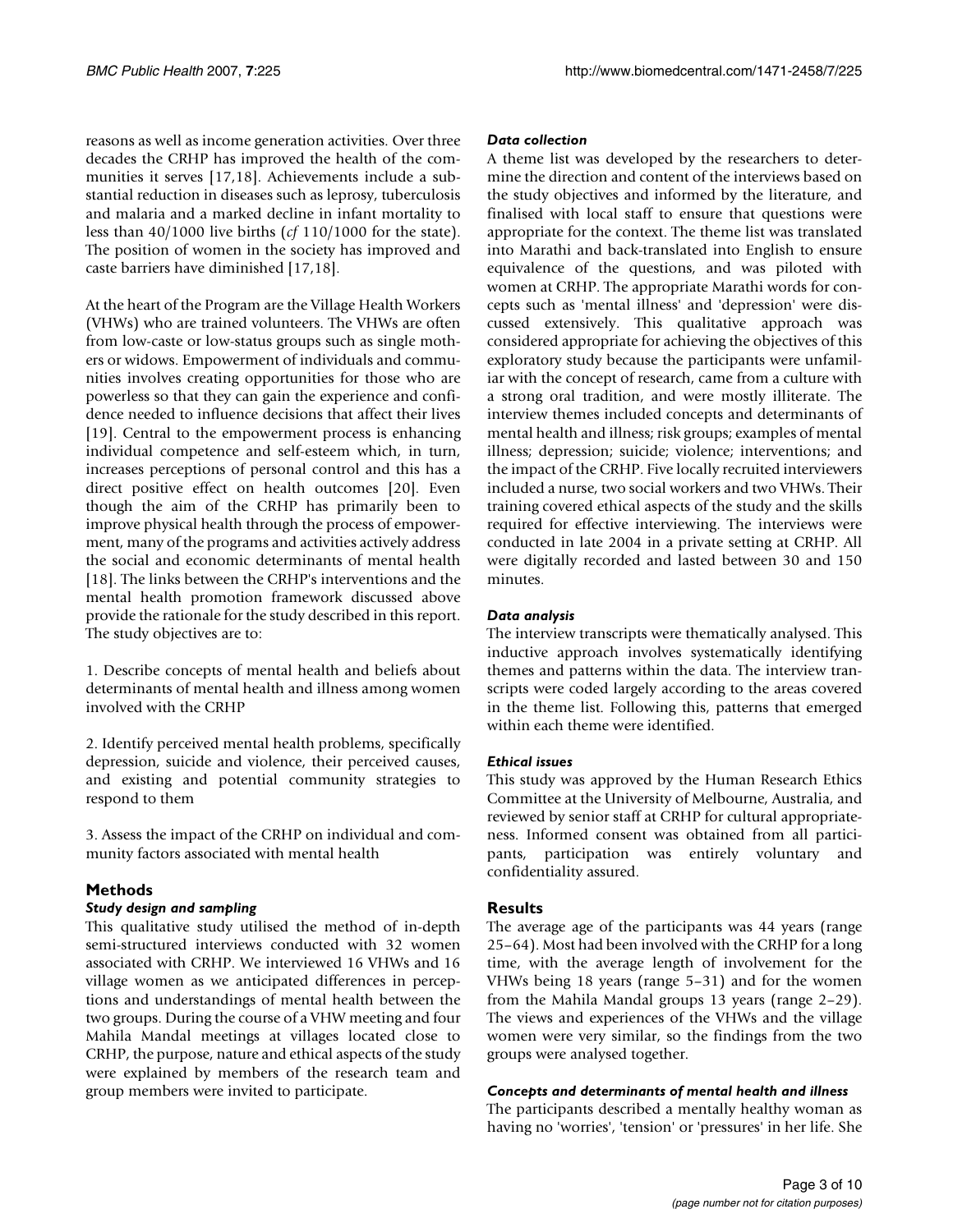reasons as well as income generation activities. Over three decades the CRHP has improved the health of the communities it serves [17,18]. Achievements include a substantial reduction in diseases such as leprosy, tuberculosis and malaria and a marked decline in infant mortality to less than 40/1000 live births (*cf* 110/1000 for the state). The position of women in the society has improved and caste barriers have diminished [17,18].

At the heart of the Program are the Village Health Workers (VHWs) who are trained volunteers. The VHWs are often from low-caste or low-status groups such as single mothers or widows. Empowerment of individuals and communities involves creating opportunities for those who are powerless so that they can gain the experience and confidence needed to influence decisions that affect their lives [19]. Central to the empowerment process is enhancing individual competence and self-esteem which, in turn, increases perceptions of personal control and this has a direct positive effect on health outcomes [20]. Even though the aim of the CRHP has primarily been to improve physical health through the process of empowerment, many of the programs and activities actively address the social and economic determinants of mental health [18]. The links between the CRHP's interventions and the mental health promotion framework discussed above provide the rationale for the study described in this report. The study objectives are to:

1. Describe concepts of mental health and beliefs about determinants of mental health and illness among women involved with the CRHP

2. Identify perceived mental health problems, specifically depression, suicide and violence, their perceived causes, and existing and potential community strategies to respond to them

3. Assess the impact of the CRHP on individual and community factors associated with mental health

# **Methods**

# *Study design and sampling*

This qualitative study utilised the method of in-depth semi-structured interviews conducted with 32 women associated with CRHP. We interviewed 16 VHWs and 16 village women as we anticipated differences in perceptions and understandings of mental health between the two groups. During the course of a VHW meeting and four Mahila Mandal meetings at villages located close to CRHP, the purpose, nature and ethical aspects of the study were explained by members of the research team and group members were invited to participate.

#### *Data collection*

A theme list was developed by the researchers to determine the direction and content of the interviews based on the study objectives and informed by the literature, and finalised with local staff to ensure that questions were appropriate for the context. The theme list was translated into Marathi and back-translated into English to ensure equivalence of the questions, and was piloted with women at CRHP. The appropriate Marathi words for concepts such as 'mental illness' and 'depression' were discussed extensively. This qualitative approach was considered appropriate for achieving the objectives of this exploratory study because the participants were unfamiliar with the concept of research, came from a culture with a strong oral tradition, and were mostly illiterate. The interview themes included concepts and determinants of mental health and illness; risk groups; examples of mental illness; depression; suicide; violence; interventions; and the impact of the CRHP. Five locally recruited interviewers included a nurse, two social workers and two VHWs. Their training covered ethical aspects of the study and the skills required for effective interviewing. The interviews were conducted in late 2004 in a private setting at CRHP. All were digitally recorded and lasted between 30 and 150 minutes.

# *Data analysis*

The interview transcripts were thematically analysed. This inductive approach involves systematically identifying themes and patterns within the data. The interview transcripts were coded largely according to the areas covered in the theme list. Following this, patterns that emerged within each theme were identified.

#### *Ethical issues*

This study was approved by the Human Research Ethics Committee at the University of Melbourne, Australia, and reviewed by senior staff at CRHP for cultural appropriateness. Informed consent was obtained from all participants, participation was entirely voluntary and confidentiality assured.

# **Results**

The average age of the participants was 44 years (range 25–64). Most had been involved with the CRHP for a long time, with the average length of involvement for the VHWs being 18 years (range 5–31) and for the women from the Mahila Mandal groups 13 years (range 2–29). The views and experiences of the VHWs and the village women were very similar, so the findings from the two groups were analysed together.

#### *Concepts and determinants of mental health and illness*

The participants described a mentally healthy woman as having no 'worries', 'tension' or 'pressures' in her life. She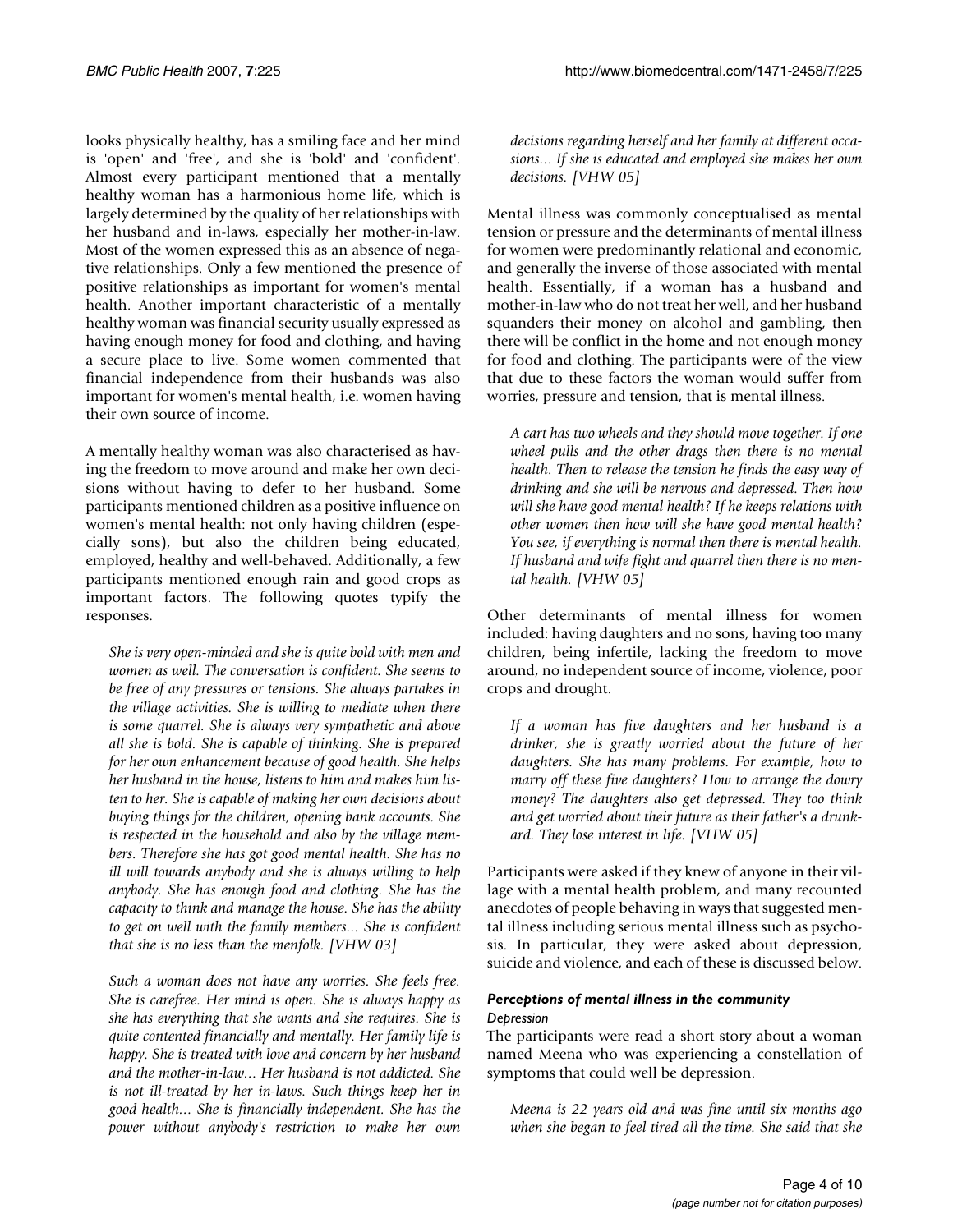looks physically healthy, has a smiling face and her mind is 'open' and 'free', and she is 'bold' and 'confident'. Almost every participant mentioned that a mentally healthy woman has a harmonious home life, which is largely determined by the quality of her relationships with her husband and in-laws, especially her mother-in-law. Most of the women expressed this as an absence of negative relationships. Only a few mentioned the presence of positive relationships as important for women's mental health. Another important characteristic of a mentally healthy woman was financial security usually expressed as having enough money for food and clothing, and having a secure place to live. Some women commented that financial independence from their husbands was also important for women's mental health, i.e. women having their own source of income.

A mentally healthy woman was also characterised as having the freedom to move around and make her own decisions without having to defer to her husband. Some participants mentioned children as a positive influence on women's mental health: not only having children (especially sons), but also the children being educated, employed, healthy and well-behaved. Additionally, a few participants mentioned enough rain and good crops as important factors. The following quotes typify the responses.

*She is very open-minded and she is quite bold with men and women as well. The conversation is confident. She seems to be free of any pressures or tensions. She always partakes in the village activities. She is willing to mediate when there is some quarrel. She is always very sympathetic and above all she is bold. She is capable of thinking. She is prepared for her own enhancement because of good health. She helps her husband in the house, listens to him and makes him listen to her. She is capable of making her own decisions about buying things for the children, opening bank accounts. She is respected in the household and also by the village members. Therefore she has got good mental health. She has no ill will towards anybody and she is always willing to help anybody. She has enough food and clothing. She has the capacity to think and manage the house. She has the ability to get on well with the family members... She is confident that she is no less than the menfolk. [VHW 03]*

*Such a woman does not have any worries. She feels free. She is carefree. Her mind is open. She is always happy as she has everything that she wants and she requires. She is quite contented financially and mentally. Her family life is happy. She is treated with love and concern by her husband and the mother-in-law... Her husband is not addicted. She is not ill-treated by her in-laws. Such things keep her in good health... She is financially independent. She has the power without anybody's restriction to make her own*

*decisions regarding herself and her family at different occasions... If she is educated and employed she makes her own decisions. [VHW 05]*

Mental illness was commonly conceptualised as mental tension or pressure and the determinants of mental illness for women were predominantly relational and economic, and generally the inverse of those associated with mental health. Essentially, if a woman has a husband and mother-in-law who do not treat her well, and her husband squanders their money on alcohol and gambling, then there will be conflict in the home and not enough money for food and clothing. The participants were of the view that due to these factors the woman would suffer from worries, pressure and tension, that is mental illness.

*A cart has two wheels and they should move together. If one wheel pulls and the other drags then there is no mental health. Then to release the tension he finds the easy way of drinking and she will be nervous and depressed. Then how will she have good mental health? If he keeps relations with other women then how will she have good mental health? You see, if everything is normal then there is mental health. If husband and wife fight and quarrel then there is no mental health. [VHW 05]*

Other determinants of mental illness for women included: having daughters and no sons, having too many children, being infertile, lacking the freedom to move around, no independent source of income, violence, poor crops and drought.

*If a woman has five daughters and her husband is a drinker, she is greatly worried about the future of her daughters. She has many problems. For example, how to marry off these five daughters? How to arrange the dowry money? The daughters also get depressed. They too think and get worried about their future as their father's a drunkard. They lose interest in life. [VHW 05]*

Participants were asked if they knew of anyone in their village with a mental health problem, and many recounted anecdotes of people behaving in ways that suggested mental illness including serious mental illness such as psychosis. In particular, they were asked about depression, suicide and violence, and each of these is discussed below.

#### *Perceptions of mental illness in the community Depression*

The participants were read a short story about a woman named Meena who was experiencing a constellation of symptoms that could well be depression.

*Meena is 22 years old and was fine until six months ago when she began to feel tired all the time. She said that she*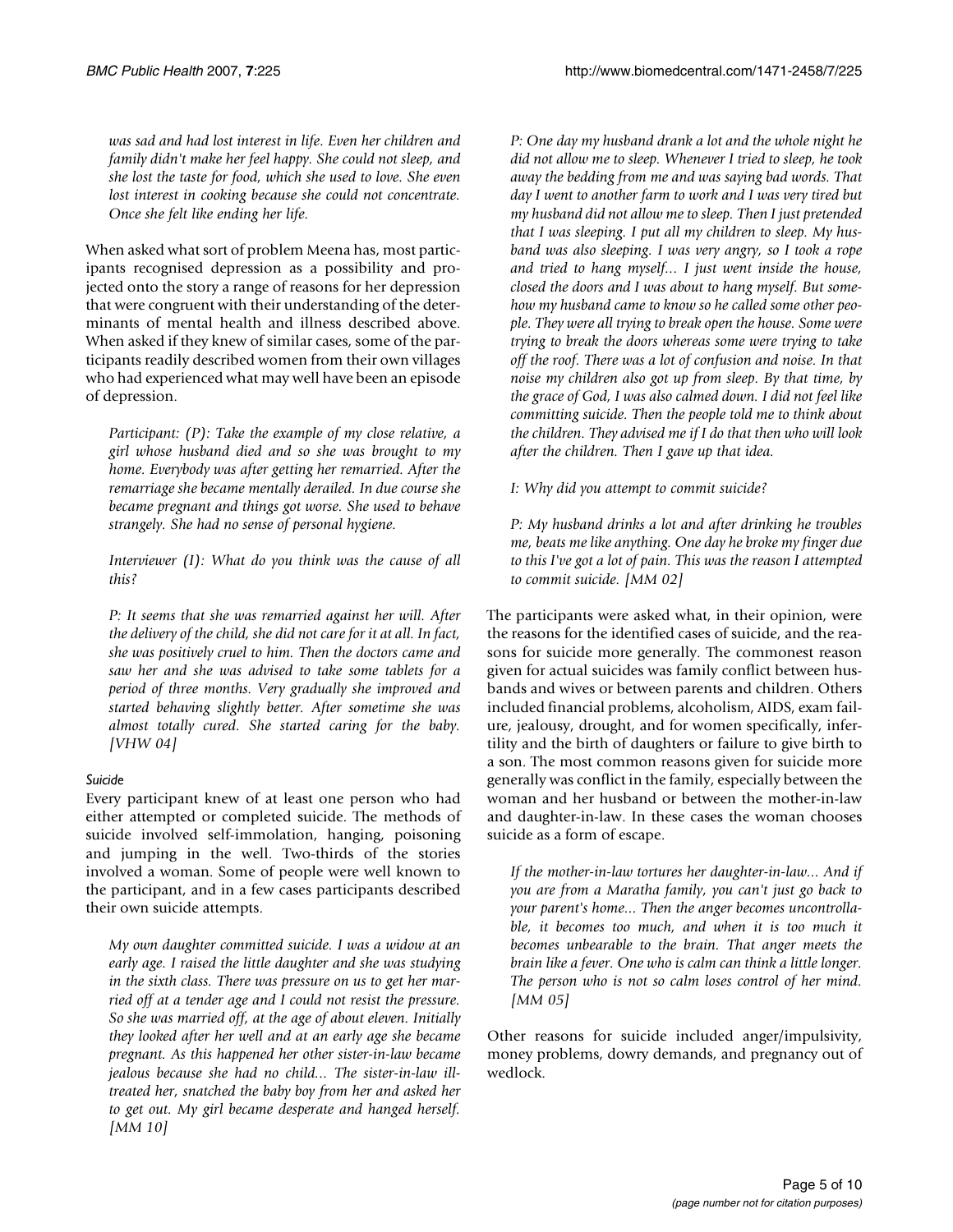*was sad and had lost interest in life. Even her children and family didn't make her feel happy. She could not sleep, and she lost the taste for food, which she used to love. She even lost interest in cooking because she could not concentrate. Once she felt like ending her life.*

When asked what sort of problem Meena has, most participants recognised depression as a possibility and projected onto the story a range of reasons for her depression that were congruent with their understanding of the determinants of mental health and illness described above. When asked if they knew of similar cases, some of the participants readily described women from their own villages who had experienced what may well have been an episode of depression.

*Participant: (P): Take the example of my close relative, a girl whose husband died and so she was brought to my home. Everybody was after getting her remarried. After the remarriage she became mentally derailed. In due course she became pregnant and things got worse. She used to behave strangely. She had no sense of personal hygiene.*

*Interviewer (I): What do you think was the cause of all this?*

*P: It seems that she was remarried against her will. After the delivery of the child, she did not care for it at all. In fact, she was positively cruel to him. Then the doctors came and saw her and she was advised to take some tablets for a period of three months. Very gradually she improved and started behaving slightly better. After sometime she was almost totally cured. She started caring for the baby. [VHW 04]*

#### *Suicide*

Every participant knew of at least one person who had either attempted or completed suicide. The methods of suicide involved self-immolation, hanging, poisoning and jumping in the well. Two-thirds of the stories involved a woman. Some of people were well known to the participant, and in a few cases participants described their own suicide attempts.

*My own daughter committed suicide. I was a widow at an early age. I raised the little daughter and she was studying in the sixth class. There was pressure on us to get her married off at a tender age and I could not resist the pressure. So she was married off, at the age of about eleven. Initially they looked after her well and at an early age she became pregnant. As this happened her other sister-in-law became jealous because she had no child... The sister-in-law illtreated her, snatched the baby boy from her and asked her to get out. My girl became desperate and hanged herself. [MM 10]*

*P: One day my husband drank a lot and the whole night he did not allow me to sleep. Whenever I tried to sleep, he took away the bedding from me and was saying bad words. That day I went to another farm to work and I was very tired but my husband did not allow me to sleep. Then I just pretended that I was sleeping. I put all my children to sleep. My husband was also sleeping. I was very angry, so I took a rope and tried to hang myself... I just went inside the house, closed the doors and I was about to hang myself. But somehow my husband came to know so he called some other people. They were all trying to break open the house. Some were trying to break the doors whereas some were trying to take off the roof. There was a lot of confusion and noise. In that noise my children also got up from sleep. By that time, by the grace of God, I was also calmed down. I did not feel like committing suicide. Then the people told me to think about the children. They advised me if I do that then who will look after the children. Then I gave up that idea.*

*I: Why did you attempt to commit suicide?*

*P: My husband drinks a lot and after drinking he troubles me, beats me like anything. One day he broke my finger due to this I've got a lot of pain. This was the reason I attempted to commit suicide. [MM 02]*

The participants were asked what, in their opinion, were the reasons for the identified cases of suicide, and the reasons for suicide more generally. The commonest reason given for actual suicides was family conflict between husbands and wives or between parents and children. Others included financial problems, alcoholism, AIDS, exam failure, jealousy, drought, and for women specifically, infertility and the birth of daughters or failure to give birth to a son. The most common reasons given for suicide more generally was conflict in the family, especially between the woman and her husband or between the mother-in-law and daughter-in-law. In these cases the woman chooses suicide as a form of escape.

*If the mother-in-law tortures her daughter-in-law... And if you are from a Maratha family, you can't just go back to your parent's home... Then the anger becomes uncontrollable, it becomes too much, and when it is too much it becomes unbearable to the brain. That anger meets the brain like a fever. One who is calm can think a little longer. The person who is not so calm loses control of her mind. [MM 05]*

Other reasons for suicide included anger/impulsivity, money problems, dowry demands, and pregnancy out of wedlock.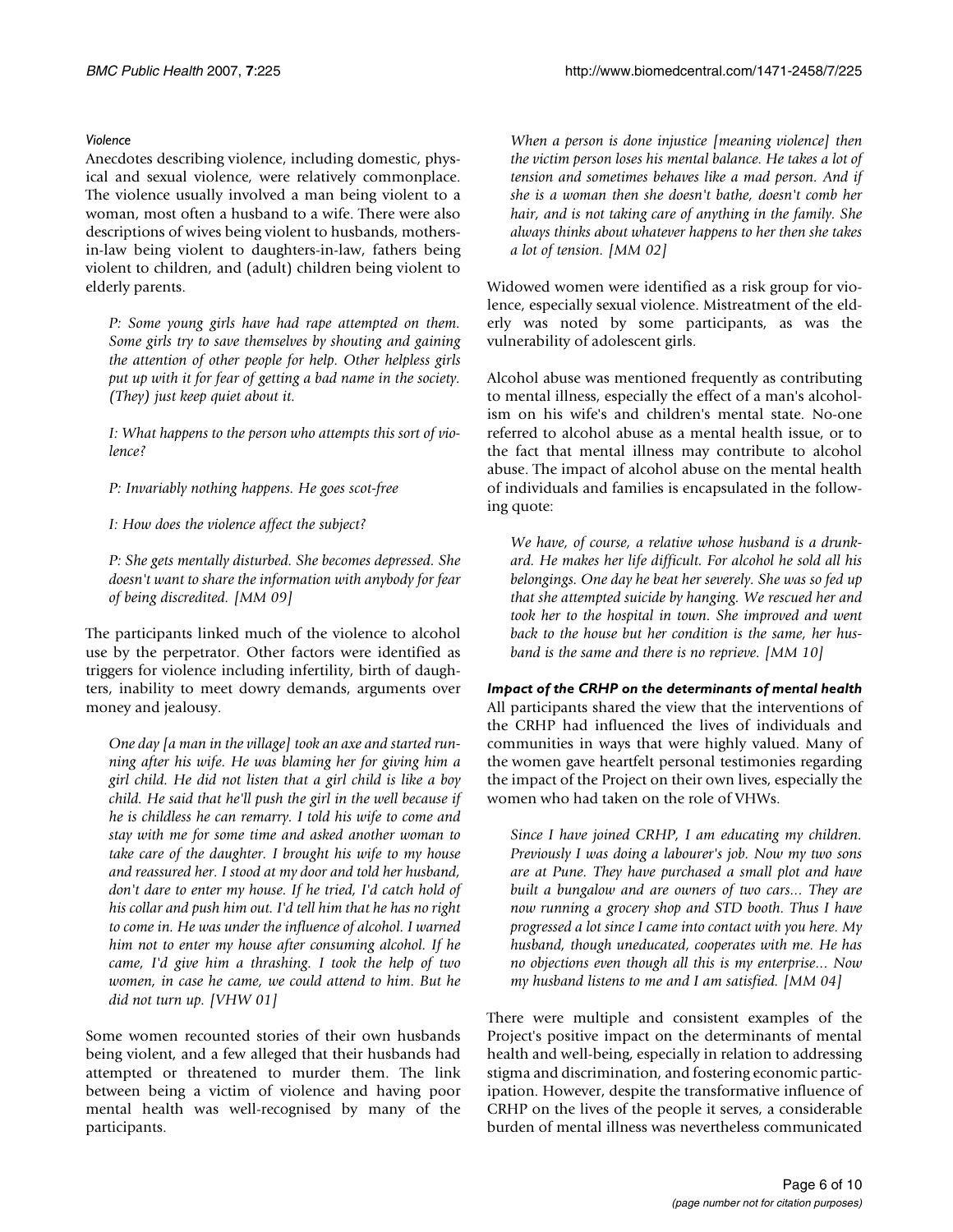#### *Violence*

Anecdotes describing violence, including domestic, physical and sexual violence, were relatively commonplace. The violence usually involved a man being violent to a woman, most often a husband to a wife. There were also descriptions of wives being violent to husbands, mothersin-law being violent to daughters-in-law, fathers being violent to children, and (adult) children being violent to elderly parents.

*P: Some young girls have had rape attempted on them. Some girls try to save themselves by shouting and gaining the attention of other people for help. Other helpless girls put up with it for fear of getting a bad name in the society. (They) just keep quiet about it.*

*I: What happens to the person who attempts this sort of violence?*

*P: Invariably nothing happens. He goes scot-free*

*I: How does the violence affect the subject?*

*P: She gets mentally disturbed. She becomes depressed. She doesn't want to share the information with anybody for fear of being discredited. [MM 09]*

The participants linked much of the violence to alcohol use by the perpetrator. Other factors were identified as triggers for violence including infertility, birth of daughters, inability to meet dowry demands, arguments over money and jealousy.

*One day [a man in the village] took an axe and started running after his wife. He was blaming her for giving him a girl child. He did not listen that a girl child is like a boy child. He said that he'll push the girl in the well because if he is childless he can remarry. I told his wife to come and stay with me for some time and asked another woman to take care of the daughter. I brought his wife to my house and reassured her. I stood at my door and told her husband, don't dare to enter my house. If he tried, I'd catch hold of his collar and push him out. I'd tell him that he has no right to come in. He was under the influence of alcohol. I warned him not to enter my house after consuming alcohol. If he came, I'd give him a thrashing. I took the help of two women, in case he came, we could attend to him. But he did not turn up. [VHW 01]*

Some women recounted stories of their own husbands being violent, and a few alleged that their husbands had attempted or threatened to murder them. The link between being a victim of violence and having poor mental health was well-recognised by many of the participants.

*When a person is done injustice [meaning violence] then the victim person loses his mental balance. He takes a lot of tension and sometimes behaves like a mad person. And if she is a woman then she doesn't bathe, doesn't comb her hair, and is not taking care of anything in the family. She always thinks about whatever happens to her then she takes a lot of tension. [MM 02]*

Widowed women were identified as a risk group for violence, especially sexual violence. Mistreatment of the elderly was noted by some participants, as was the vulnerability of adolescent girls.

Alcohol abuse was mentioned frequently as contributing to mental illness, especially the effect of a man's alcoholism on his wife's and children's mental state. No-one referred to alcohol abuse as a mental health issue, or to the fact that mental illness may contribute to alcohol abuse. The impact of alcohol abuse on the mental health of individuals and families is encapsulated in the following quote:

*We have, of course, a relative whose husband is a drunkard. He makes her life difficult. For alcohol he sold all his belongings. One day he beat her severely. She was so fed up that she attempted suicide by hanging. We rescued her and took her to the hospital in town. She improved and went back to the house but her condition is the same, her husband is the same and there is no reprieve. [MM 10]*

#### *Impact of the CRHP on the determinants of mental health* All participants shared the view that the interventions of the CRHP had influenced the lives of individuals and communities in ways that were highly valued. Many of the women gave heartfelt personal testimonies regarding the impact of the Project on their own lives, especially the

women who had taken on the role of VHWs.

*Since I have joined CRHP, I am educating my children. Previously I was doing a labourer's job. Now my two sons are at Pune. They have purchased a small plot and have built a bungalow and are owners of two cars... They are now running a grocery shop and STD booth. Thus I have progressed a lot since I came into contact with you here. My husband, though uneducated, cooperates with me. He has no objections even though all this is my enterprise... Now my husband listens to me and I am satisfied. [MM 04]*

There were multiple and consistent examples of the Project's positive impact on the determinants of mental health and well-being, especially in relation to addressing stigma and discrimination, and fostering economic participation. However, despite the transformative influence of CRHP on the lives of the people it serves, a considerable burden of mental illness was nevertheless communicated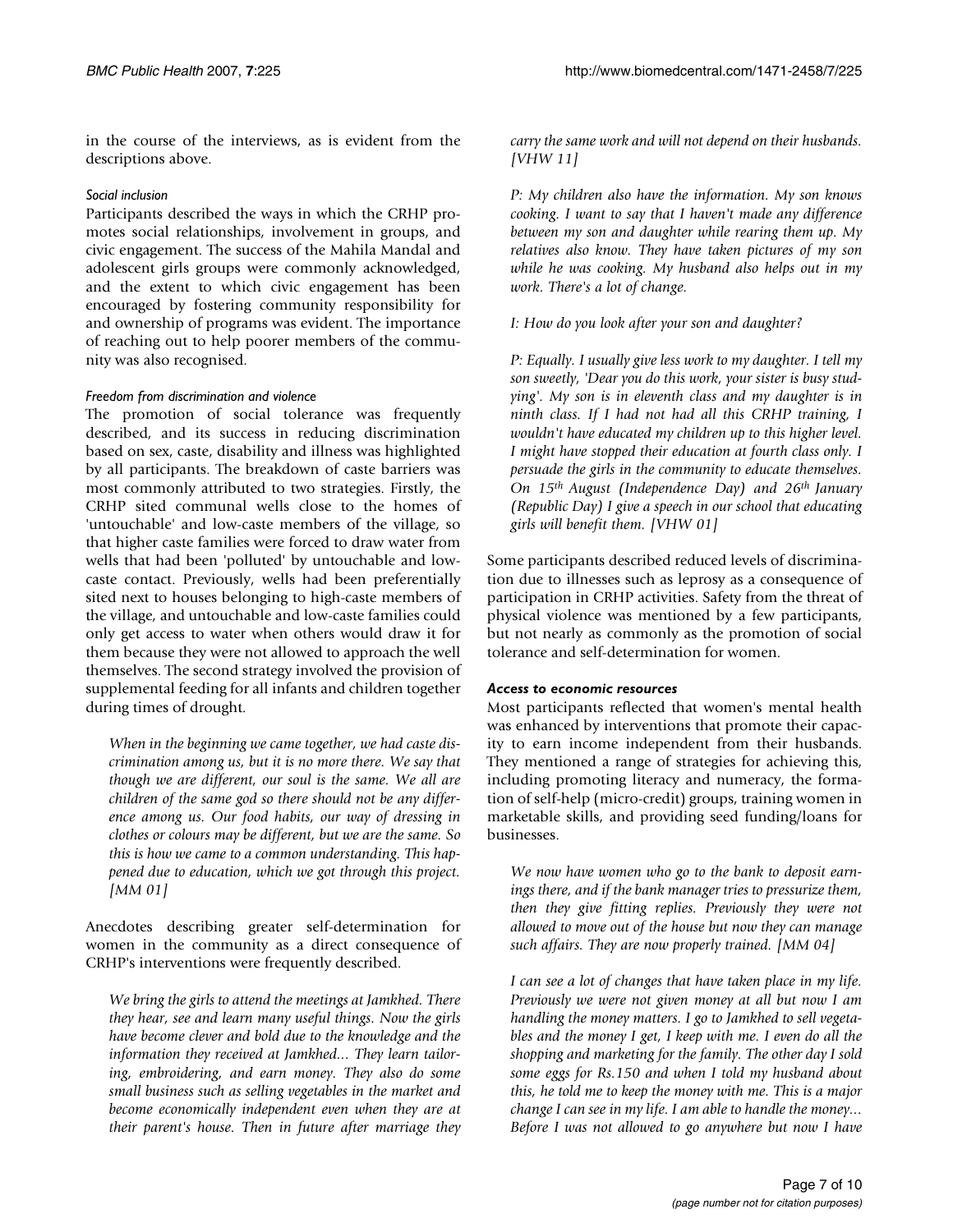in the course of the interviews, as is evident from the descriptions above.

#### *Social inclusion*

Participants described the ways in which the CRHP promotes social relationships, involvement in groups, and civic engagement. The success of the Mahila Mandal and adolescent girls groups were commonly acknowledged, and the extent to which civic engagement has been encouraged by fostering community responsibility for and ownership of programs was evident. The importance of reaching out to help poorer members of the community was also recognised.

#### *Freedom from discrimination and violence*

The promotion of social tolerance was frequently described, and its success in reducing discrimination based on sex, caste, disability and illness was highlighted by all participants. The breakdown of caste barriers was most commonly attributed to two strategies. Firstly, the CRHP sited communal wells close to the homes of 'untouchable' and low-caste members of the village, so that higher caste families were forced to draw water from wells that had been 'polluted' by untouchable and lowcaste contact. Previously, wells had been preferentially sited next to houses belonging to high-caste members of the village, and untouchable and low-caste families could only get access to water when others would draw it for them because they were not allowed to approach the well themselves. The second strategy involved the provision of supplemental feeding for all infants and children together during times of drought.

*When in the beginning we came together, we had caste discrimination among us, but it is no more there. We say that though we are different, our soul is the same. We all are children of the same god so there should not be any difference among us. Our food habits, our way of dressing in clothes or colours may be different, but we are the same. So this is how we came to a common understanding. This happened due to education, which we got through this project. [MM 01]*

Anecdotes describing greater self-determination for women in the community as a direct consequence of CRHP's interventions were frequently described.

*We bring the girls to attend the meetings at Jamkhed. There they hear, see and learn many useful things. Now the girls have become clever and bold due to the knowledge and the information they received at Jamkhed... They learn tailoring, embroidering, and earn money. They also do some small business such as selling vegetables in the market and become economically independent even when they are at their parent's house. Then in future after marriage they* *carry the same work and will not depend on their husbands. [VHW 11]*

*P: My children also have the information. My son knows cooking. I want to say that I haven't made any difference between my son and daughter while rearing them up. My relatives also know. They have taken pictures of my son while he was cooking. My husband also helps out in my work. There's a lot of change.*

*I: How do you look after your son and daughter?*

*P: Equally. I usually give less work to my daughter. I tell my son sweetly, 'Dear you do this work, your sister is busy studying'. My son is in eleventh class and my daughter is in ninth class. If I had not had all this CRHP training, I wouldn't have educated my children up to this higher level. I might have stopped their education at fourth class only. I persuade the girls in the community to educate themselves. On 15th August (Independence Day) and 26th January (Republic Day) I give a speech in our school that educating girls will benefit them. [VHW 01]*

Some participants described reduced levels of discrimination due to illnesses such as leprosy as a consequence of participation in CRHP activities. Safety from the threat of physical violence was mentioned by a few participants, but not nearly as commonly as the promotion of social tolerance and self-determination for women.

#### *Access to economic resources*

Most participants reflected that women's mental health was enhanced by interventions that promote their capacity to earn income independent from their husbands. They mentioned a range of strategies for achieving this, including promoting literacy and numeracy, the formation of self-help (micro-credit) groups, training women in marketable skills, and providing seed funding/loans for businesses.

*We now have women who go to the bank to deposit earnings there, and if the bank manager tries to pressurize them, then they give fitting replies. Previously they were not allowed to move out of the house but now they can manage such affairs. They are now properly trained. [MM 04]*

*I can see a lot of changes that have taken place in my life. Previously we were not given money at all but now I am handling the money matters. I go to Jamkhed to sell vegetables and the money I get, I keep with me. I even do all the shopping and marketing for the family. The other day I sold some eggs for Rs.150 and when I told my husband about this, he told me to keep the money with me. This is a major change I can see in my life. I am able to handle the money... Before I was not allowed to go anywhere but now I have*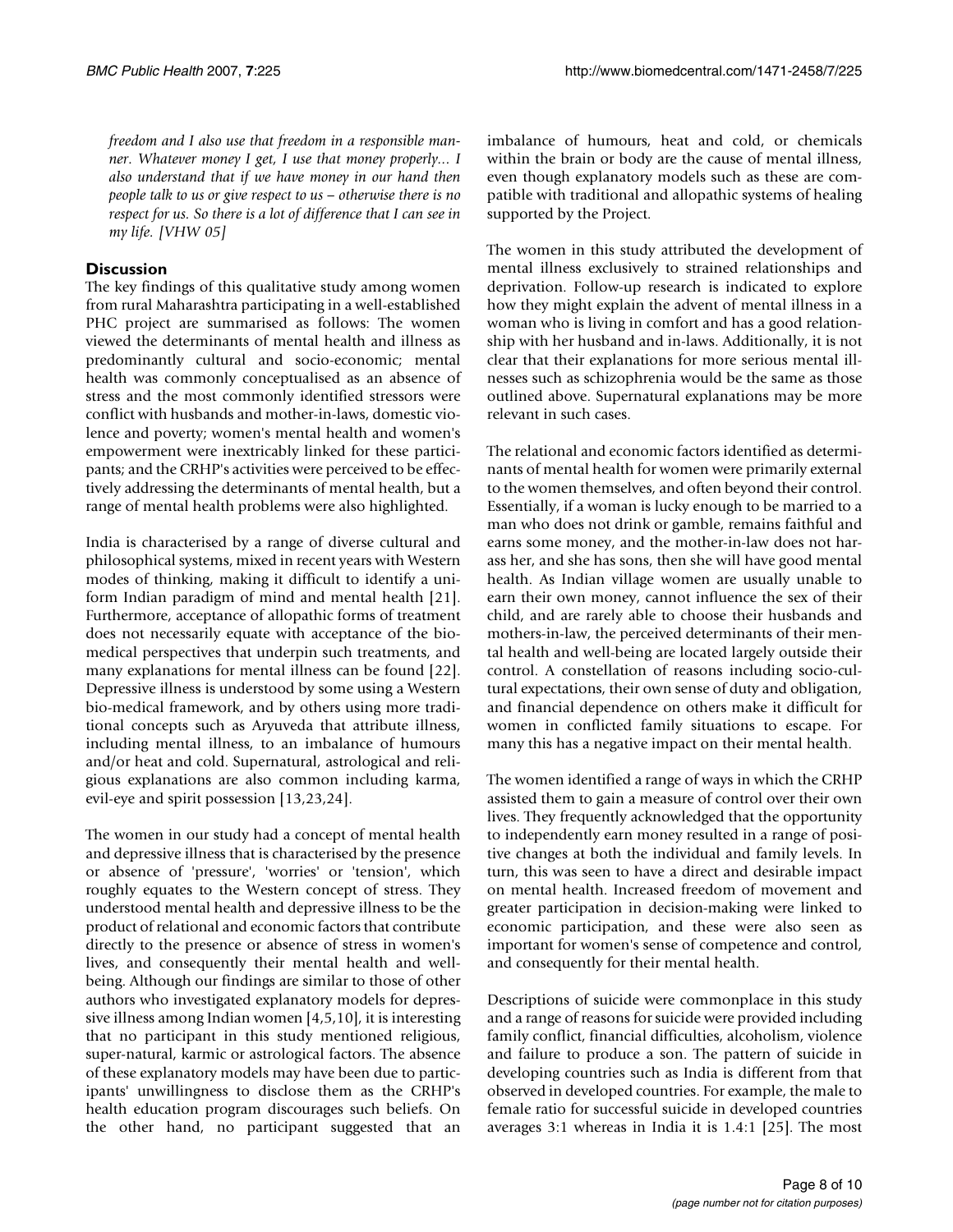*freedom and I also use that freedom in a responsible manner. Whatever money I get, I use that money properly... I also understand that if we have money in our hand then people talk to us or give respect to us – otherwise there is no respect for us. So there is a lot of difference that I can see in my life. [VHW 05]*

# **Discussion**

The key findings of this qualitative study among women from rural Maharashtra participating in a well-established PHC project are summarised as follows: The women viewed the determinants of mental health and illness as predominantly cultural and socio-economic; mental health was commonly conceptualised as an absence of stress and the most commonly identified stressors were conflict with husbands and mother-in-laws, domestic violence and poverty; women's mental health and women's empowerment were inextricably linked for these participants; and the CRHP's activities were perceived to be effectively addressing the determinants of mental health, but a range of mental health problems were also highlighted.

India is characterised by a range of diverse cultural and philosophical systems, mixed in recent years with Western modes of thinking, making it difficult to identify a uniform Indian paradigm of mind and mental health [21]. Furthermore, acceptance of allopathic forms of treatment does not necessarily equate with acceptance of the biomedical perspectives that underpin such treatments, and many explanations for mental illness can be found [22]. Depressive illness is understood by some using a Western bio-medical framework, and by others using more traditional concepts such as Aryuveda that attribute illness, including mental illness, to an imbalance of humours and/or heat and cold. Supernatural, astrological and religious explanations are also common including karma, evil-eye and spirit possession [13,23,24].

The women in our study had a concept of mental health and depressive illness that is characterised by the presence or absence of 'pressure', 'worries' or 'tension', which roughly equates to the Western concept of stress. They understood mental health and depressive illness to be the product of relational and economic factors that contribute directly to the presence or absence of stress in women's lives, and consequently their mental health and wellbeing. Although our findings are similar to those of other authors who investigated explanatory models for depressive illness among Indian women [4,5,10], it is interesting that no participant in this study mentioned religious, super-natural, karmic or astrological factors. The absence of these explanatory models may have been due to participants' unwillingness to disclose them as the CRHP's health education program discourages such beliefs. On the other hand, no participant suggested that an

imbalance of humours, heat and cold, or chemicals within the brain or body are the cause of mental illness, even though explanatory models such as these are compatible with traditional and allopathic systems of healing supported by the Project.

The women in this study attributed the development of mental illness exclusively to strained relationships and deprivation. Follow-up research is indicated to explore how they might explain the advent of mental illness in a woman who is living in comfort and has a good relationship with her husband and in-laws. Additionally, it is not clear that their explanations for more serious mental illnesses such as schizophrenia would be the same as those outlined above. Supernatural explanations may be more relevant in such cases.

The relational and economic factors identified as determinants of mental health for women were primarily external to the women themselves, and often beyond their control. Essentially, if a woman is lucky enough to be married to a man who does not drink or gamble, remains faithful and earns some money, and the mother-in-law does not harass her, and she has sons, then she will have good mental health. As Indian village women are usually unable to earn their own money, cannot influence the sex of their child, and are rarely able to choose their husbands and mothers-in-law, the perceived determinants of their mental health and well-being are located largely outside their control. A constellation of reasons including socio-cultural expectations, their own sense of duty and obligation, and financial dependence on others make it difficult for women in conflicted family situations to escape. For many this has a negative impact on their mental health.

The women identified a range of ways in which the CRHP assisted them to gain a measure of control over their own lives. They frequently acknowledged that the opportunity to independently earn money resulted in a range of positive changes at both the individual and family levels. In turn, this was seen to have a direct and desirable impact on mental health. Increased freedom of movement and greater participation in decision-making were linked to economic participation, and these were also seen as important for women's sense of competence and control, and consequently for their mental health.

Descriptions of suicide were commonplace in this study and a range of reasons for suicide were provided including family conflict, financial difficulties, alcoholism, violence and failure to produce a son. The pattern of suicide in developing countries such as India is different from that observed in developed countries. For example, the male to female ratio for successful suicide in developed countries averages 3:1 whereas in India it is 1.4:1 [25]. The most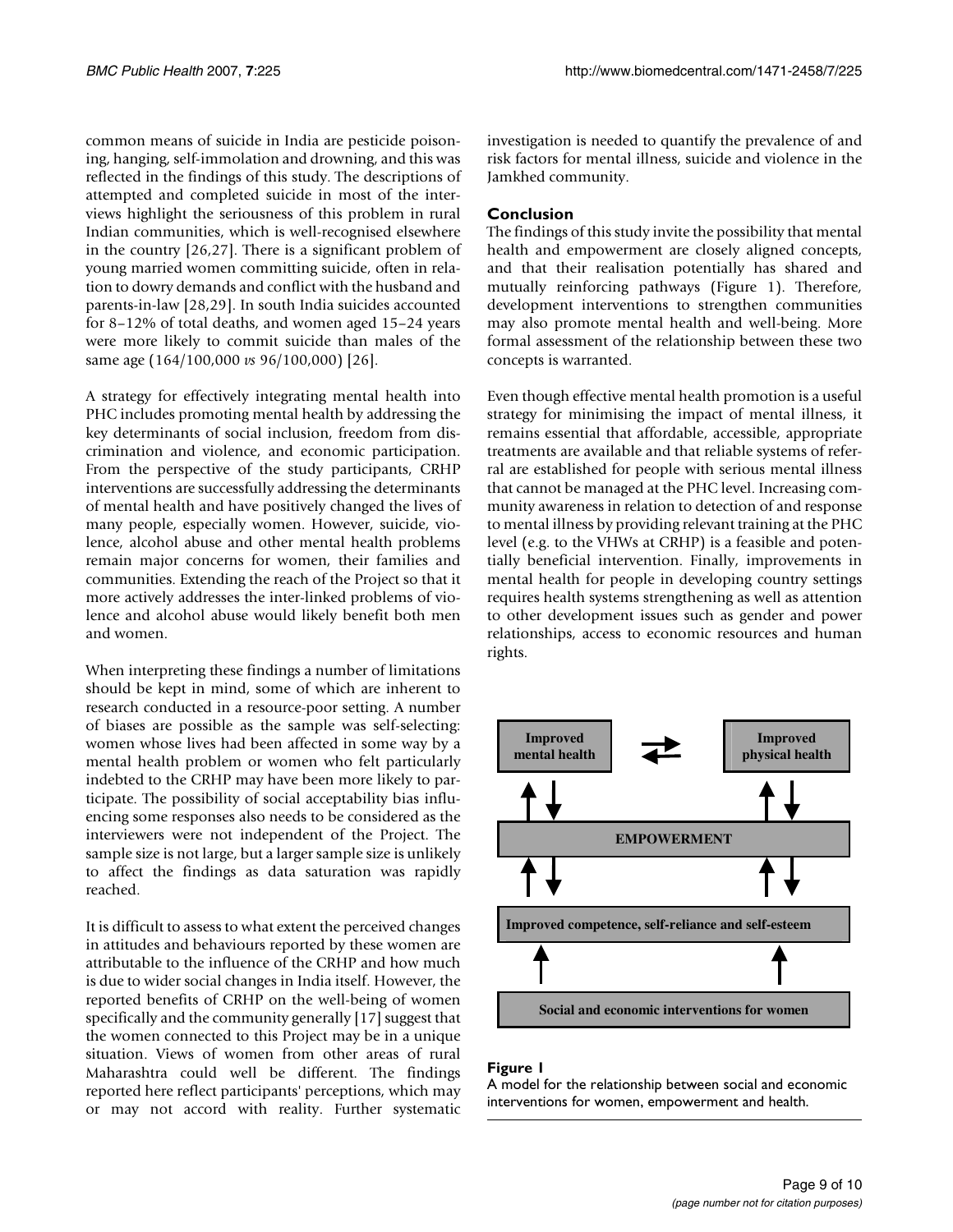common means of suicide in India are pesticide poisoning, hanging, self-immolation and drowning, and this was reflected in the findings of this study. The descriptions of attempted and completed suicide in most of the interviews highlight the seriousness of this problem in rural Indian communities, which is well-recognised elsewhere in the country [26,27]. There is a significant problem of young married women committing suicide, often in relation to dowry demands and conflict with the husband and parents-in-law [28,29]. In south India suicides accounted for 8–12% of total deaths, and women aged 15–24 years were more likely to commit suicide than males of the same age (164/100,000 *vs* 96/100,000) [26].

A strategy for effectively integrating mental health into PHC includes promoting mental health by addressing the key determinants of social inclusion, freedom from discrimination and violence, and economic participation. From the perspective of the study participants, CRHP interventions are successfully addressing the determinants of mental health and have positively changed the lives of many people, especially women. However, suicide, violence, alcohol abuse and other mental health problems remain major concerns for women, their families and communities. Extending the reach of the Project so that it more actively addresses the inter-linked problems of violence and alcohol abuse would likely benefit both men and women.

When interpreting these findings a number of limitations should be kept in mind, some of which are inherent to research conducted in a resource-poor setting. A number of biases are possible as the sample was self-selecting: women whose lives had been affected in some way by a mental health problem or women who felt particularly indebted to the CRHP may have been more likely to participate. The possibility of social acceptability bias influencing some responses also needs to be considered as the interviewers were not independent of the Project. The sample size is not large, but a larger sample size is unlikely to affect the findings as data saturation was rapidly reached.

It is difficult to assess to what extent the perceived changes in attitudes and behaviours reported by these women are attributable to the influence of the CRHP and how much is due to wider social changes in India itself. However, the reported benefits of CRHP on the well-being of women specifically and the community generally [17] suggest that the women connected to this Project may be in a unique situation. Views of women from other areas of rural Maharashtra could well be different. The findings reported here reflect participants' perceptions, which may or may not accord with reality. Further systematic investigation is needed to quantify the prevalence of and risk factors for mental illness, suicide and violence in the Jamkhed community.

# **Conclusion**

The findings of this study invite the possibility that mental health and empowerment are closely aligned concepts, and that their realisation potentially has shared and mutually reinforcing pathways (Figure 1). Therefore, development interventions to strengthen communities may also promote mental health and well-being. More formal assessment of the relationship between these two concepts is warranted.

Even though effective mental health promotion is a useful strategy for minimising the impact of mental illness, it remains essential that affordable, accessible, appropriate treatments are available and that reliable systems of referral are established for people with serious mental illness that cannot be managed at the PHC level. Increasing community awareness in relation to detection of and response to mental illness by providing relevant training at the PHC level (e.g. to the VHWs at CRHP) is a feasible and potentially beneficial intervention. Finally, improvements in mental health for people in developing country settings requires health systems strengthening as well as attention to other development issues such as gender and power relationships, access to economic resources and human rights.



#### Figure 1

A model for the relationship between social and economic interventions for women, empowerment and health.